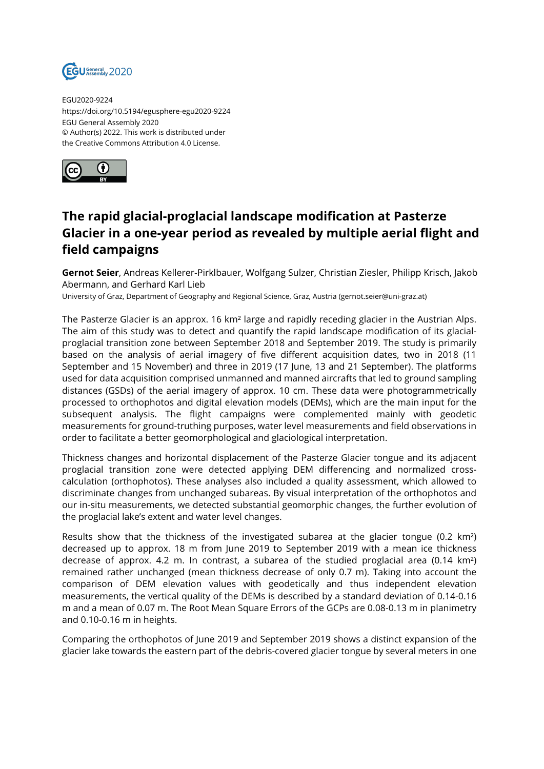

EGU2020-9224 https://doi.org/10.5194/egusphere-egu2020-9224 EGU General Assembly 2020 © Author(s) 2022. This work is distributed under the Creative Commons Attribution 4.0 License.



## **The rapid glacial-proglacial landscape modification at Pasterze Glacier in a one-year period as revealed by multiple aerial flight and field campaigns**

**Gernot Seier**, Andreas Kellerer-Pirklbauer, Wolfgang Sulzer, Christian Ziesler, Philipp Krisch, Jakob Abermann, and Gerhard Karl Lieb

University of Graz, Department of Geography and Regional Science, Graz, Austria (gernot.seier@uni-graz.at)

The Pasterze Glacier is an approx. 16 km<sup>2</sup> large and rapidly receding glacier in the Austrian Alps. The aim of this study was to detect and quantify the rapid landscape modification of its glacialproglacial transition zone between September 2018 and September 2019. The study is primarily based on the analysis of aerial imagery of five different acquisition dates, two in 2018 (11 September and 15 November) and three in 2019 (17 June, 13 and 21 September). The platforms used for data acquisition comprised unmanned and manned aircrafts that led to ground sampling distances (GSDs) of the aerial imagery of approx. 10 cm. These data were photogrammetrically processed to orthophotos and digital elevation models (DEMs), which are the main input for the subsequent analysis. The flight campaigns were complemented mainly with geodetic measurements for ground-truthing purposes, water level measurements and field observations in order to facilitate a better geomorphological and glaciological interpretation.

Thickness changes and horizontal displacement of the Pasterze Glacier tongue and its adjacent proglacial transition zone were detected applying DEM differencing and normalized crosscalculation (orthophotos). These analyses also included a quality assessment, which allowed to discriminate changes from unchanged subareas. By visual interpretation of the orthophotos and our in-situ measurements, we detected substantial geomorphic changes, the further evolution of the proglacial lake's extent and water level changes.

Results show that the thickness of the investigated subarea at the glacier tongue (0.2 km²) decreased up to approx. 18 m from June 2019 to September 2019 with a mean ice thickness decrease of approx. 4.2 m. In contrast, a subarea of the studied proglacial area (0.14 km²) remained rather unchanged (mean thickness decrease of only 0.7 m). Taking into account the comparison of DEM elevation values with geodetically and thus independent elevation measurements, the vertical quality of the DEMs is described by a standard deviation of 0.14-0.16 m and a mean of 0.07 m. The Root Mean Square Errors of the GCPs are 0.08-0.13 m in planimetry and 0.10-0.16 m in heights.

Comparing the orthophotos of June 2019 and September 2019 shows a distinct expansion of the glacier lake towards the eastern part of the debris-covered glacier tongue by several meters in one